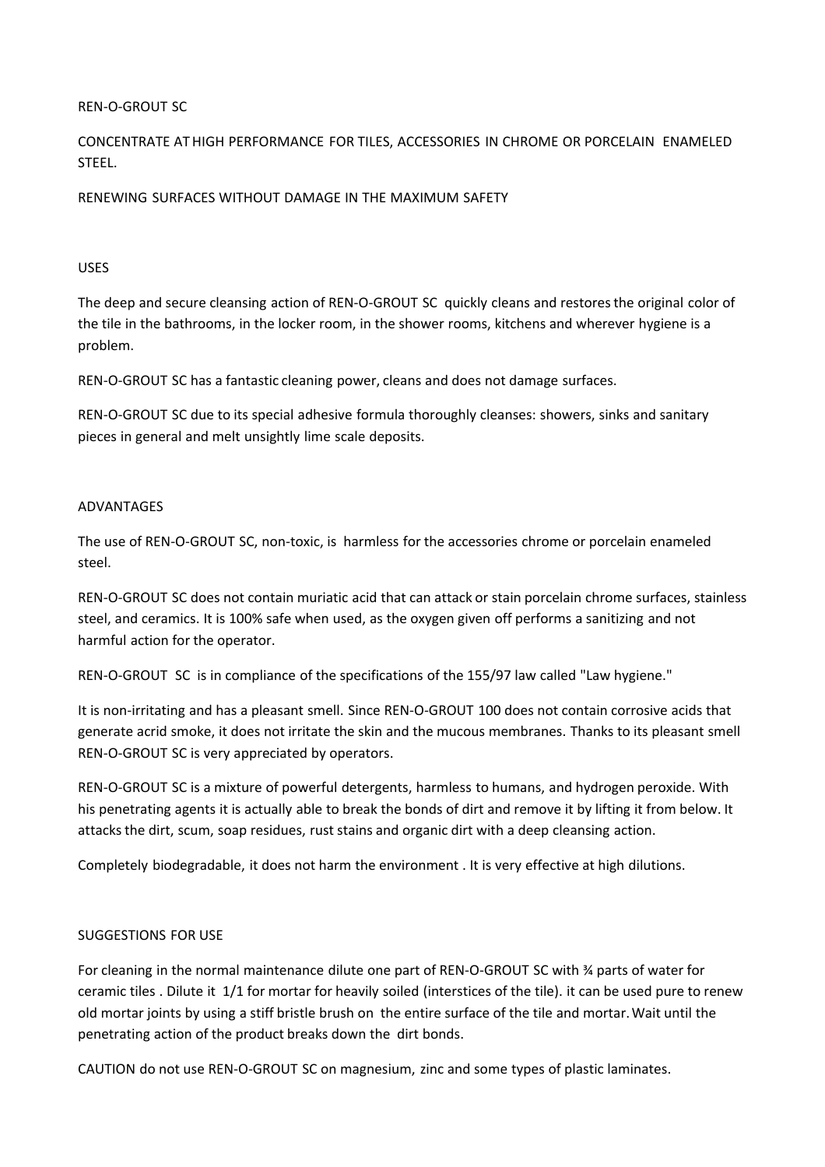## REN-O-GROUT SC

CONCENTRATE ATHIGH PERFORMANCE FOR TILES, ACCESSORIES IN CHROME OR PORCELAIN ENAMELED STEEL.

RENEWING SURFACES WITHOUT DAMAGE IN THE MAXIMUM SAFETY

## USES

The deep and secure cleansing action of REN-O-GROUT SC quickly cleans and restoresthe original color of the tile in the bathrooms, in the locker room, in the shower rooms, kitchens and wherever hygiene is a problem.

REN-O-GROUT SC has a fantastic cleaning power, cleans and does not damage surfaces.

REN-O-GROUT SC due to its special adhesive formula thoroughly cleanses: showers, sinks and sanitary pieces in general and melt unsightly lime scale deposits.

## ADVANTAGES

The use of REN-O-GROUT SC, non-toxic, is harmless for the accessories chrome or porcelain enameled steel.

REN-O-GROUT SC does not contain muriatic acid that can attack or stain porcelain chrome surfaces, stainless steel, and ceramics. It is 100% safe when used, as the oxygen given off performs a sanitizing and not harmful action for the operator.

REN-O-GROUT SC is in compliance of the specifications of the 155/97 law called "Law hygiene."

It is non-irritating and has a pleasant smell. Since REN-O-GROUT 100 does not contain corrosive acids that generate acrid smoke, it does not irritate the skin and the mucous membranes. Thanks to its pleasant smell REN-O-GROUT SC is very appreciated by operators.

REN-O-GROUT SC is a mixture of powerful detergents, harmless to humans, and hydrogen peroxide. With his penetrating agents it is actually able to break the bonds of dirt and remove it by lifting it from below. It attacksthe dirt, scum, soap residues, rust stains and organic dirt with a deep cleansing action.

Completely biodegradable, it does not harm the environment . It is very effective at high dilutions.

## SUGGESTIONS FOR USE

For cleaning in the normal maintenance dilute one part of REN-O-GROUT SC with ¾ parts of water for ceramic tiles . Dilute it 1/1 for mortar for heavily soiled (interstices of the tile). it can be used pure to renew old mortar joints by using a stiff bristle brush on the entire surface of the tile and mortar.Wait until the penetrating action of the product breaks down the dirt bonds.

CAUTION do not use REN-O-GROUT SC on magnesium, zinc and some types of plastic laminates.